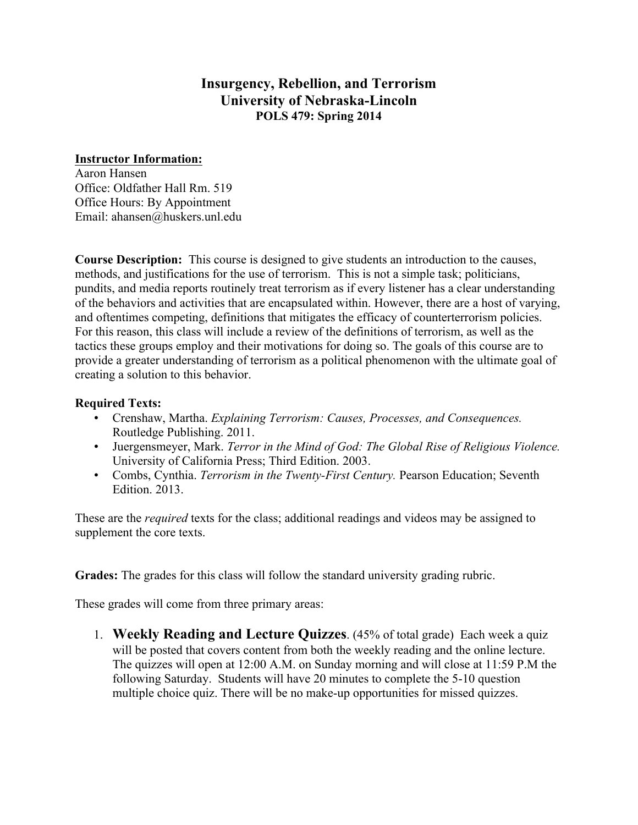## **Insurgency, Rebellion, and Terrorism University of Nebraska-Lincoln POLS 479: Spring 2014**

## **Instructor Information:**

Aaron Hansen Office: Oldfather Hall Rm. 519 Office Hours: By Appointment Email: ahansen@huskers.unl.edu

**Course Description:** This course is designed to give students an introduction to the causes, methods, and justifications for the use of terrorism. This is not a simple task; politicians, pundits, and media reports routinely treat terrorism as if every listener has a clear understanding of the behaviors and activities that are encapsulated within. However, there are a host of varying, and oftentimes competing, definitions that mitigates the efficacy of counterterrorism policies. For this reason, this class will include a review of the definitions of terrorism, as well as the tactics these groups employ and their motivations for doing so. The goals of this course are to provide a greater understanding of terrorism as a political phenomenon with the ultimate goal of creating a solution to this behavior.

## **Required Texts:**

- Crenshaw, Martha. *Explaining Terrorism: Causes, Processes, and Consequences.* Routledge Publishing. 2011.
- Juergensmeyer, Mark. *Terror in the Mind of God: The Global Rise of Religious Violence.* University of California Press; Third Edition. 2003.
- Combs, Cynthia. *Terrorism in the Twenty-First Century.* Pearson Education; Seventh Edition. 2013.

These are the *required* texts for the class; additional readings and videos may be assigned to supplement the core texts.

**Grades:** The grades for this class will follow the standard university grading rubric.

These grades will come from three primary areas:

1. **Weekly Reading and Lecture Quizzes**. (45% of total grade) Each week a quiz will be posted that covers content from both the weekly reading and the online lecture. The quizzes will open at 12:00 A.M. on Sunday morning and will close at 11:59 P.M the following Saturday. Students will have 20 minutes to complete the 5-10 question multiple choice quiz. There will be no make-up opportunities for missed quizzes.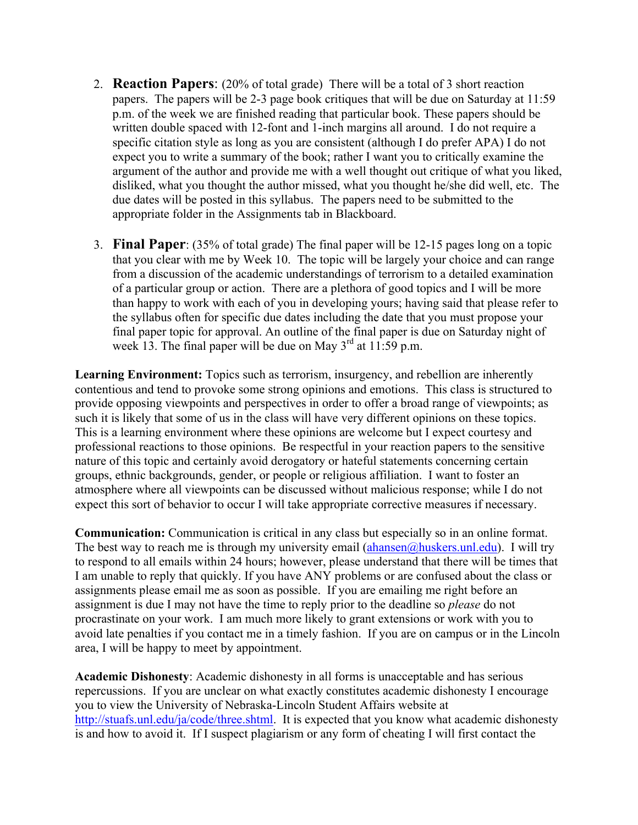- 2. **Reaction Papers**: (20% of total grade) There will be a total of 3 short reaction papers. The papers will be 2-3 page book critiques that will be due on Saturday at 11:59 p.m. of the week we are finished reading that particular book. These papers should be written double spaced with 12-font and 1-inch margins all around. I do not require a specific citation style as long as you are consistent (although I do prefer APA) I do not expect you to write a summary of the book; rather I want you to critically examine the argument of the author and provide me with a well thought out critique of what you liked, disliked, what you thought the author missed, what you thought he/she did well, etc. The due dates will be posted in this syllabus. The papers need to be submitted to the appropriate folder in the Assignments tab in Blackboard.
- 3. **Final Paper**: (35% of total grade) The final paper will be 12-15 pages long on a topic that you clear with me by Week 10. The topic will be largely your choice and can range from a discussion of the academic understandings of terrorism to a detailed examination of a particular group or action. There are a plethora of good topics and I will be more than happy to work with each of you in developing yours; having said that please refer to the syllabus often for specific due dates including the date that you must propose your final paper topic for approval. An outline of the final paper is due on Saturday night of week 13. The final paper will be due on May  $3<sup>rd</sup>$  at 11:59 p.m.

**Learning Environment:** Topics such as terrorism, insurgency, and rebellion are inherently contentious and tend to provoke some strong opinions and emotions. This class is structured to provide opposing viewpoints and perspectives in order to offer a broad range of viewpoints; as such it is likely that some of us in the class will have very different opinions on these topics. This is a learning environment where these opinions are welcome but I expect courtesy and professional reactions to those opinions. Be respectful in your reaction papers to the sensitive nature of this topic and certainly avoid derogatory or hateful statements concerning certain groups, ethnic backgrounds, gender, or people or religious affiliation. I want to foster an atmosphere where all viewpoints can be discussed without malicious response; while I do not expect this sort of behavior to occur I will take appropriate corrective measures if necessary.

**Communication:** Communication is critical in any class but especially so in an online format. The best way to reach me is through my university email  $(ahansen@huskers.unl.edu)$ . I will try to respond to all emails within 24 hours; however, please understand that there will be times that I am unable to reply that quickly. If you have ANY problems or are confused about the class or assignments please email me as soon as possible. If you are emailing me right before an assignment is due I may not have the time to reply prior to the deadline so *please* do not procrastinate on your work. I am much more likely to grant extensions or work with you to avoid late penalties if you contact me in a timely fashion. If you are on campus or in the Lincoln area, I will be happy to meet by appointment.

**Academic Dishonesty**: Academic dishonesty in all forms is unacceptable and has serious repercussions. If you are unclear on what exactly constitutes academic dishonesty I encourage you to view the University of Nebraska-Lincoln Student Affairs website at http://stuafs.unl.edu/ja/code/three.shtml. It is expected that you know what academic dishonesty is and how to avoid it. If I suspect plagiarism or any form of cheating I will first contact the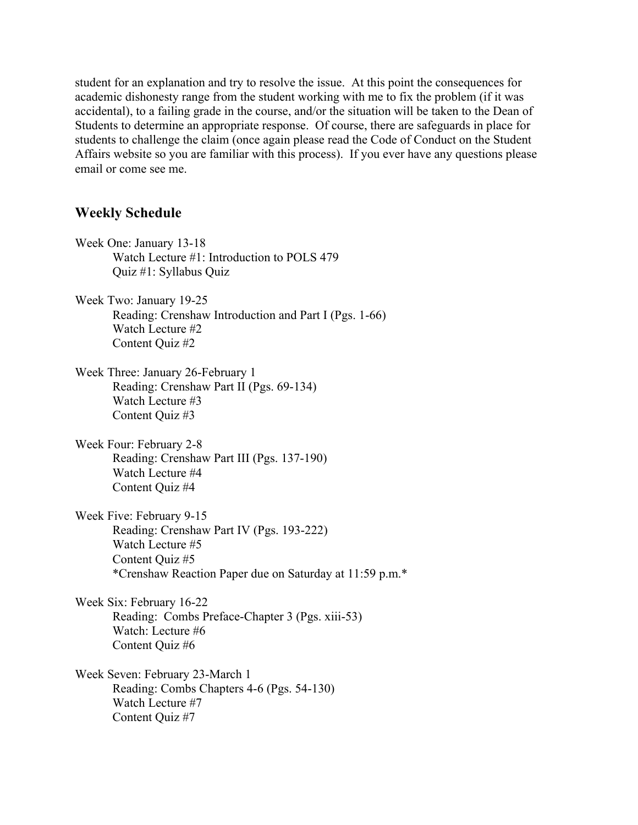student for an explanation and try to resolve the issue. At this point the consequences for academic dishonesty range from the student working with me to fix the problem (if it was accidental), to a failing grade in the course, and/or the situation will be taken to the Dean of Students to determine an appropriate response. Of course, there are safeguards in place for students to challenge the claim (once again please read the Code of Conduct on the Student Affairs website so you are familiar with this process). If you ever have any questions please email or come see me.

## **Weekly Schedule**

Week One: January 13-18 Watch Lecture #1: Introduction to POLS 479 Quiz #1: Syllabus Quiz Week Two: January 19-25 Reading: Crenshaw Introduction and Part I (Pgs. 1-66) Watch Lecture #2 Content Quiz #2 Week Three: January 26-February 1 Reading: Crenshaw Part II (Pgs. 69-134) Watch Lecture #3 Content Quiz #3 Week Four: February 2-8 Reading: Crenshaw Part III (Pgs. 137-190) Watch Lecture #4 Content Quiz #4 Week Five: February 9-15 Reading: Crenshaw Part IV (Pgs. 193-222) Watch Lecture #5 Content Quiz #5 \*Crenshaw Reaction Paper due on Saturday at 11:59 p.m.\* Week Six: February 16-22 Reading: Combs Preface-Chapter 3 (Pgs. xiii-53) Watch: Lecture #6 Content Quiz #6 Week Seven: February 23-March 1 Reading: Combs Chapters 4-6 (Pgs. 54-130) Watch Lecture #7 Content Quiz #7